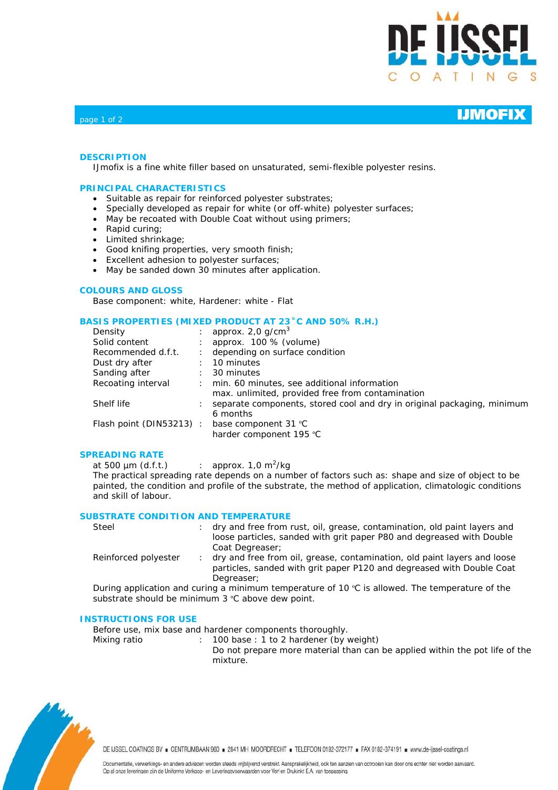

### **DESCRIPTION**

IJmofix is a fine white filler based on unsaturated, semi-flexible polyester resins.

### **PRINCIPAL CHARACTERISTICS**

- Suitable as repair for reinforced polyester substrates;
- Specially developed as repair for white (or off-white) polyester surfaces;
- May be recoated with Double Coat without using primers;
- Rapid curing;
- Limited shrinkage;
- Good knifing properties, very smooth finish;
- Excellent adhesion to polyester surfaces;
- May be sanded down 30 minutes after application.

### **COLOURS AND GLOSS**

Base component: white, Hardener: white - Flat

### **BASIS PROPERTIES (MIXED PRODUCT AT 23˚C AND 50% R.H.)**

| Density                 | approx. $2,0$ g/cm <sup>3</sup>                                                                 |
|-------------------------|-------------------------------------------------------------------------------------------------|
| Solid content           | approx. 100 % (volume)                                                                          |
| Recommended d.f.t.      | depending on surface condition                                                                  |
| Dust dry after          | 10 minutes                                                                                      |
| Sanding after           | 30 minutes                                                                                      |
| Recoating interval      | min. 60 minutes, see additional information<br>max. unlimited, provided free from contamination |
| Shelf life              | separate components, stored cool and dry in original packaging, minimum<br>6 months             |
| Flash point (DIN53213): | base component 31 °C<br>harder component 195 °C                                                 |

### **SPREADING RATE**

at 500  $\mu$ m (d.f.t.) : approx. 1,0 m<sup>2</sup>/kg The practical spreading rate depends on a number of factors such as: shape and size of object to be painted, the condition and profile of the substrate, the method of application, climatologic conditions and skill of labour.

### **SUBSTRATE CONDITION AND TEMPERATURE**

| Steel                | dry and free from rust, oil, grease, contamination, old paint layers and |  |  |  |  |
|----------------------|--------------------------------------------------------------------------|--|--|--|--|
|                      | loose particles, sanded with grit paper P80 and degreased with Double    |  |  |  |  |
|                      | Coat Degreaser:                                                          |  |  |  |  |
| Reinforced polyester | dry and free from oil, grease, contamination, old paint layers and loose |  |  |  |  |
|                      |                                                                          |  |  |  |  |

particles, sanded with grit paper P120 and degreased with Double Coat Degreaser;

During application and curing a minimum temperature of 10 ºC is allowed. The temperature of the substrate should be minimum 3 °C above dew point.

### **INSTRUCTIONS FOR USE**

Before use, mix base and hardener components thoroughly.

Mixing ratio : 100 base : 1 to 2 hardener (by weight) Do not prepare more material than can be applied within the pot life of the mixture.



DE IJSSEL COATINGS BV . CENTRUMBAAN 960 . 2841 MH MOORDRECHT . TELEFOON 0182-372177 . FAX 0182-374191 . www.de-ijssel-coatings.nl